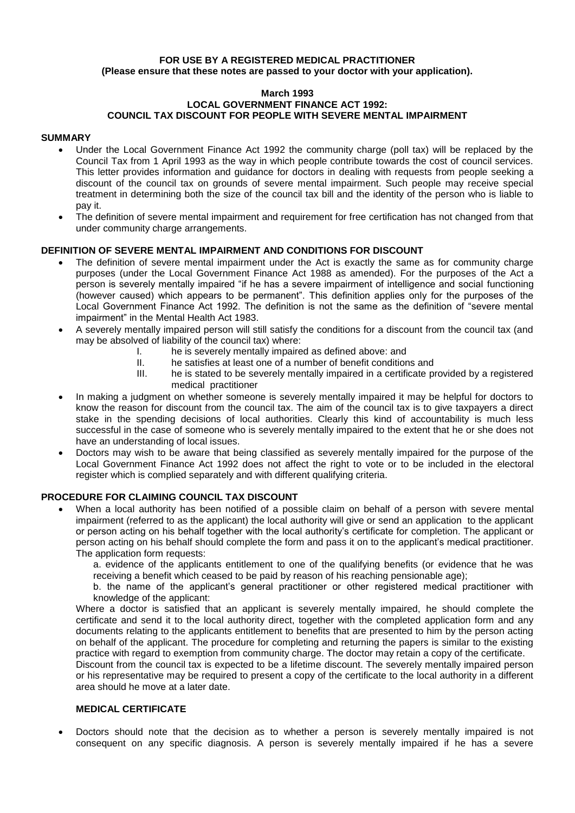## **FOR USE BY A REGISTERED MEDICAL PRACTITIONER (Please ensure that these notes are passed to your doctor with your application).**

#### **March 1993 LOCAL GOVERNMENT FINANCE ACT 1992: COUNCIL TAX DISCOUNT FOR PEOPLE WITH SEVERE MENTAL IMPAIRMENT**

# **SUMMARY**

- Under the Local Government Finance Act 1992 the community charge (poll tax) will be replaced by the Council Tax from 1 April 1993 as the way in which people contribute towards the cost of council services. This letter provides information and guidance for doctors in dealing with requests from people seeking a discount of the council tax on grounds of severe mental impairment. Such people may receive special treatment in determining both the size of the council tax bill and the identity of the person who is liable to pay it.
- The definition of severe mental impairment and requirement for free certification has not changed from that under community charge arrangements.

# **DEFINITION OF SEVERE MENTAL IMPAIRMENT AND CONDITIONS FOR DISCOUNT**

- The definition of severe mental impairment under the Act is exactly the same as for community charge purposes (under the Local Government Finance Act 1988 as amended). For the purposes of the Act a person is severely mentally impaired "if he has a severe impairment of intelligence and social functioning (however caused) which appears to be permanent". This definition applies only for the purposes of the Local Government Finance Act 1992. The definition is not the same as the definition of "severe mental impairment" in the Mental Health Act 1983.
- A severely mentally impaired person will still satisfy the conditions for a discount from the council tax (and may be absolved of liability of the council tax) where:
	- I. he is severely mentally impaired as defined above: and
	- II. he satisfies at least one of a number of benefit conditions and
	- III. he is stated to be severely mentally impaired in a certificate provided by a registered medical practitioner
- In making a judgment on whether someone is severely mentally impaired it may be helpful for doctors to know the reason for discount from the council tax. The aim of the council tax is to give taxpayers a direct stake in the spending decisions of local authorities. Clearly this kind of accountability is much less successful in the case of someone who is severely mentally impaired to the extent that he or she does not have an understanding of local issues.
- Doctors may wish to be aware that being classified as severely mentally impaired for the purpose of the Local Government Finance Act 1992 does not affect the right to vote or to be included in the electoral register which is complied separately and with different qualifying criteria.

# **PROCEDURE FOR CLAIMING COUNCIL TAX DISCOUNT**

 When a local authority has been notified of a possible claim on behalf of a person with severe mental impairment (referred to as the applicant) the local authority will give or send an application to the applicant or person acting on his behalf together with the local authority's certificate for completion. The applicant or person acting on his behalf should complete the form and pass it on to the applicant's medical practitioner. The application form requests:

a. evidence of the applicants entitlement to one of the qualifying benefits (or evidence that he was receiving a benefit which ceased to be paid by reason of his reaching pensionable age);

b. the name of the applicant's general practitioner or other registered medical practitioner with knowledge of the applicant:

Where a doctor is satisfied that an applicant is severely mentally impaired, he should complete the certificate and send it to the local authority direct, together with the completed application form and any documents relating to the applicants entitlement to benefits that are presented to him by the person acting on behalf of the applicant. The procedure for completing and returning the papers is similar to the existing practice with regard to exemption from community charge. The doctor may retain a copy of the certificate.

Discount from the council tax is expected to be a lifetime discount. The severely mentally impaired person or his representative may be required to present a copy of the certificate to the local authority in a different area should he move at a later date.

# **MEDICAL CERTIFICATE**

 Doctors should note that the decision as to whether a person is severely mentally impaired is not consequent on any specific diagnosis. A person is severely mentally impaired if he has a severe